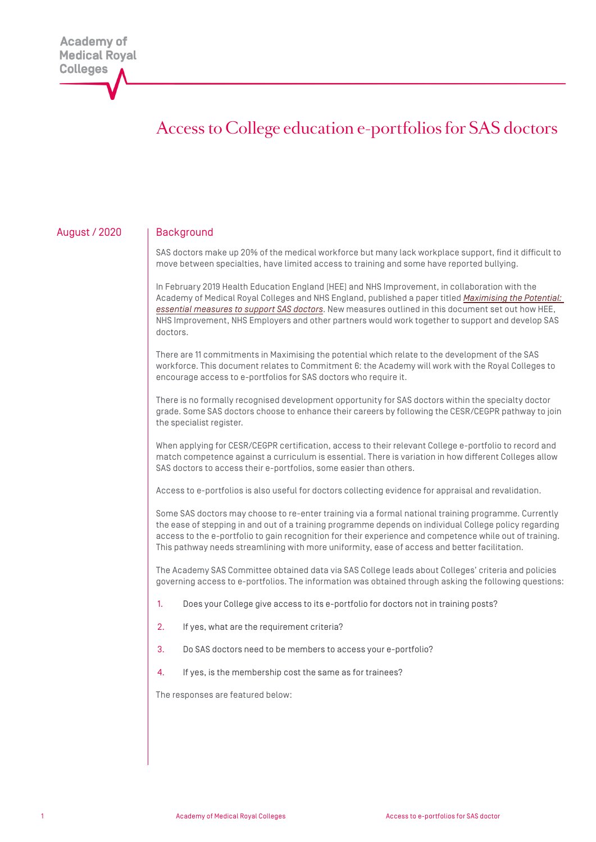# Access to College education e-portfolios for SAS doctors

## August / 2020 | Background

SAS doctors make up 20% of the medical workforce but many lack workplace support, find it difficult to move between specialties, have limited access to training and some have reported bullying.

In February 2019 Health Education England (HEE) and NHS Improvement, in collaboration with the Academy of Medical Royal Colleges and NHS England, published a paper titled *[Maximising the Potential:](https://www.hee.nhs.uk/sites/default/files/documents/SAS_Report_Web.pdf)  [essential measures to support SAS doctors](https://www.hee.nhs.uk/sites/default/files/documents/SAS_Report_Web.pdf)*. New measures outlined in this document set out how HEE, NHS Improvement, NHS Employers and other partners would work together to support and develop SAS doctors.

There are 11 commitments in Maximising the potential which relate to the development of the SAS workforce. This document relates to Commitment 6: the Academy will work with the Royal Colleges to encourage access to e-portfolios for SAS doctors who require it.

There is no formally recognised development opportunity for SAS doctors within the specialty doctor grade. Some SAS doctors choose to enhance their careers by following the CESR/CEGPR pathway to join the specialist register.

When applying for CESR/CEGPR certification, access to their relevant College e-portfolio to record and match competence against a curriculum is essential. There is variation in how different Colleges allow SAS doctors to access their e-portfolios, some easier than others.

Access to e-portfolios is also useful for doctors collecting evidence for appraisal and revalidation.

Some SAS doctors may choose to re-enter training via a formal national training programme. Currently the ease of stepping in and out of a training programme depends on individual College policy regarding access to the e-portfolio to gain recognition for their experience and competence while out of training. This pathway needs streamlining with more uniformity, ease of access and better facilitation.

The Academy SAS Committee obtained data via SAS College leads about Colleges' criteria and policies governing access to e-portfolios. The information was obtained through asking the following questions:

- 1. Does your College give access to its e-portfolio for doctors not in training posts?
- 2. If yes, what are the requirement criteria?
- 3. Do SAS doctors need to be members to access your e-portfolio?
- 4. If yes, is the membership cost the same as for trainees?

The responses are featured below: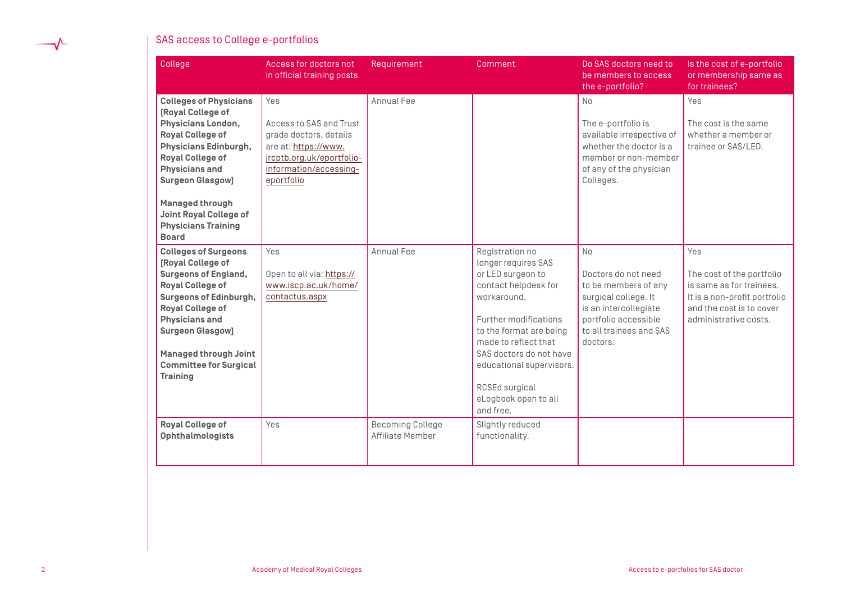

## SAS access to College e-portfolios

| College                                                                                                                                                                                                                                                                                                                     | Access for doctors not<br>in official training posts                                                                                                  | Requirement                                 | Comment                                                                                                                                                                                                                                                                                      | Do SAS doctors need to<br>be members to access<br>the e-portfolio?                                                                                                       | Is the cost of e-portfolio<br>or membership same as<br>for trainees?                                                                              |
|-----------------------------------------------------------------------------------------------------------------------------------------------------------------------------------------------------------------------------------------------------------------------------------------------------------------------------|-------------------------------------------------------------------------------------------------------------------------------------------------------|---------------------------------------------|----------------------------------------------------------------------------------------------------------------------------------------------------------------------------------------------------------------------------------------------------------------------------------------------|--------------------------------------------------------------------------------------------------------------------------------------------------------------------------|---------------------------------------------------------------------------------------------------------------------------------------------------|
| <b>Colleges of Physicians</b><br>[Royal College of<br><b>Physicians London,</b><br><b>Royal College of</b><br>Physicians Edinburgh,<br><b>Royal College of</b><br><b>Physicians and</b><br><b>Surgeon Glasgow]</b><br><b>Managed through</b><br><b>Joint Royal College of</b><br><b>Physicians Training</b><br><b>Board</b> | Yes<br>Access to SAS and Trust<br>grade doctors, details<br>are at: https://www.<br>jrcptb.org.uk/eportfolio-<br>information/accessing-<br>eportfolio | Annual Fee                                  |                                                                                                                                                                                                                                                                                              | No<br>The e-portfolio is<br>available irrespective of<br>whether the doctor is a<br>member or non-member<br>of any of the physician<br>Colleges.                         | Yes<br>The cost is the same<br>whether a member or<br>trainee or SAS/LED.                                                                         |
| <b>Colleges of Surgeons</b><br>[Royal College of<br><b>Surgeons of England,</b><br><b>Royal College of</b><br><b>Surgeons of Edinburgh,</b><br><b>Royal College of</b><br><b>Physicians and</b><br><b>Surgeon Glasgow]</b><br><b>Managed through Joint</b><br><b>Committee for Surgical</b><br><b>Training</b>              | Yes<br>Open to all via: https://<br>www.iscp.ac.uk/home/<br>contactus.aspx                                                                            | Annual Fee                                  | Registration no<br>longer requires SAS<br>or LED surgeon to<br>contact helpdesk for<br>workaround.<br>Further modifications<br>to the format are being<br>made to reflect that<br>SAS doctors do not have<br>educational supervisors.<br>RCSEd surgical<br>eLogbook open to all<br>and free. | <b>No</b><br>Doctors do not need<br>to be members of any<br>surgical college. It<br>is an intercollegiate<br>portfolio accessible<br>to all trainees and SAS<br>doctors. | Yes<br>The cost of the portfolio<br>is same as for trainees.<br>It is a non-profit portfolio<br>and the cost is to cover<br>administrative costs. |
| <b>Royal College of</b><br><b>Ophthalmologists</b>                                                                                                                                                                                                                                                                          | Yes                                                                                                                                                   | <b>Becoming College</b><br>Affiliate Member | Slightly reduced<br>functionality.                                                                                                                                                                                                                                                           |                                                                                                                                                                          |                                                                                                                                                   |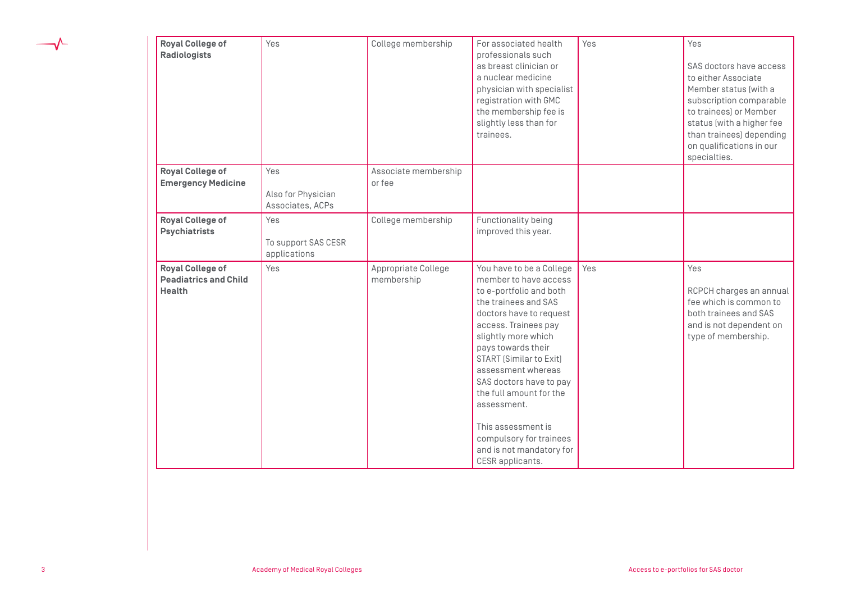| <b>Royal College of</b><br><b>Radiologists</b>                           | Yes                                           | College membership                | For associated health<br>professionals such<br>as breast clinician or<br>a nuclear medicine<br>physician with specialist<br>registration with GMC<br>the membership fee is<br>slightly less than for<br>trainees.                                                                                                                                                                                                           | Yes | Yes<br>SAS doctors have access<br>to either Associate<br>Member status (with a<br>subscription comparable<br>to trainees) or Member<br>status (with a higher fee<br>than trainees) depending<br>on qualifications in our |
|--------------------------------------------------------------------------|-----------------------------------------------|-----------------------------------|-----------------------------------------------------------------------------------------------------------------------------------------------------------------------------------------------------------------------------------------------------------------------------------------------------------------------------------------------------------------------------------------------------------------------------|-----|--------------------------------------------------------------------------------------------------------------------------------------------------------------------------------------------------------------------------|
| <b>Royal College of</b><br><b>Emergency Medicine</b>                     | Yes<br>Also for Physician<br>Associates, ACPs | Associate membership<br>or fee    |                                                                                                                                                                                                                                                                                                                                                                                                                             |     | specialties.                                                                                                                                                                                                             |
| <b>Royal College of</b><br><b>Psychiatrists</b>                          | Yes<br>To support SAS CESR<br>applications    | College membership                | Functionality being<br>improved this year.                                                                                                                                                                                                                                                                                                                                                                                  |     |                                                                                                                                                                                                                          |
| <b>Royal College of</b><br><b>Peadiatrics and Child</b><br><b>Health</b> | Yes                                           | Appropriate College<br>membership | You have to be a College<br>member to have access<br>to e-portfolio and both<br>the trainees and SAS<br>doctors have to request<br>access. Trainees pay<br>slightly more which<br>pays towards their<br>START [Similar to Exit]<br>assessment whereas<br>SAS doctors have to pay<br>the full amount for the<br>assessment.<br>This assessment is<br>compulsory for trainees<br>and is not mandatory for<br>CESR applicants. | Yes | Yes<br>RCPCH charges an annual<br>fee which is common to<br>both trainees and SAS<br>and is not dependent on<br>type of membership.                                                                                      |

 $\overline{\mathcal{Y}}$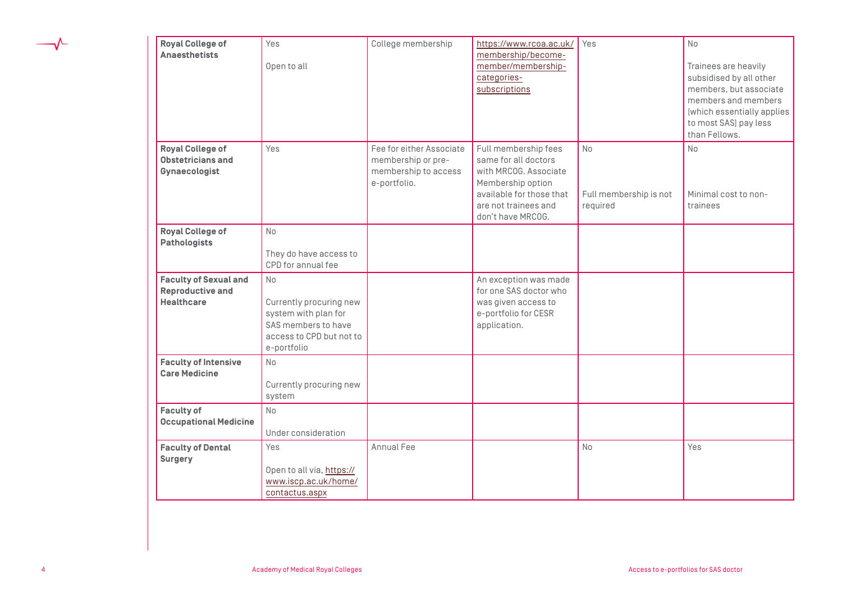| <b>Royal College of</b><br><b>Anaesthetists</b>                              | Yes<br>Open to all                                                                                                      | College membership                                                                     | https://www.rcoa.ac.uk/<br>membership/become-<br>member/membership-<br>categories-<br>subscriptions                                                                 | Yes                                             | <b>No</b><br>Trainees are heavily<br>subsidised by all other<br>members, but associate<br>members and members<br>(which essentially applies<br>to most SAS) pay less<br>than Fellows. |
|------------------------------------------------------------------------------|-------------------------------------------------------------------------------------------------------------------------|----------------------------------------------------------------------------------------|---------------------------------------------------------------------------------------------------------------------------------------------------------------------|-------------------------------------------------|---------------------------------------------------------------------------------------------------------------------------------------------------------------------------------------|
| <b>Royal College of</b><br><b>Obstetricians and</b><br>Gynaecologist         | Yes                                                                                                                     | Fee for either Associate<br>membership or pre-<br>membership to access<br>e-portfolio. | Full membership fees<br>same for all doctors<br>with MRCOG. Associate<br>Membership option<br>available for those that<br>are not trainees and<br>don't have MRC0G. | <b>No</b><br>Full membership is not<br>required | <b>No</b><br>Minimal cost to non-<br>trainees                                                                                                                                         |
| <b>Royal College of</b><br><b>Pathologists</b>                               | <b>No</b><br>They do have access to<br>CPD for annual fee                                                               |                                                                                        |                                                                                                                                                                     |                                                 |                                                                                                                                                                                       |
| <b>Faculty of Sexual and</b><br><b>Reproductive and</b><br><b>Healthcare</b> | No<br>Currently procuring new<br>system with plan for<br>SAS members to have<br>access to CPD but not to<br>e-portfolio |                                                                                        | An exception was made<br>for one SAS doctor who<br>was given access to<br>e-portfolio for CESR<br>application.                                                      |                                                 |                                                                                                                                                                                       |
| <b>Faculty of Intensive</b><br><b>Care Medicine</b>                          | <b>No</b><br>Currently procuring new<br>system                                                                          |                                                                                        |                                                                                                                                                                     |                                                 |                                                                                                                                                                                       |
| <b>Faculty of</b><br><b>Occupational Medicine</b>                            | <b>No</b><br>Under consideration                                                                                        |                                                                                        |                                                                                                                                                                     |                                                 |                                                                                                                                                                                       |
| <b>Faculty of Dental</b><br><b>Surgery</b>                                   | Yes<br>Open to all via, https://<br>www.iscp.ac.uk/home/<br>contactus.aspx                                              | Annual Fee                                                                             |                                                                                                                                                                     | <b>No</b>                                       | Yes                                                                                                                                                                                   |

 $\overline{\mathcal{Y}}$